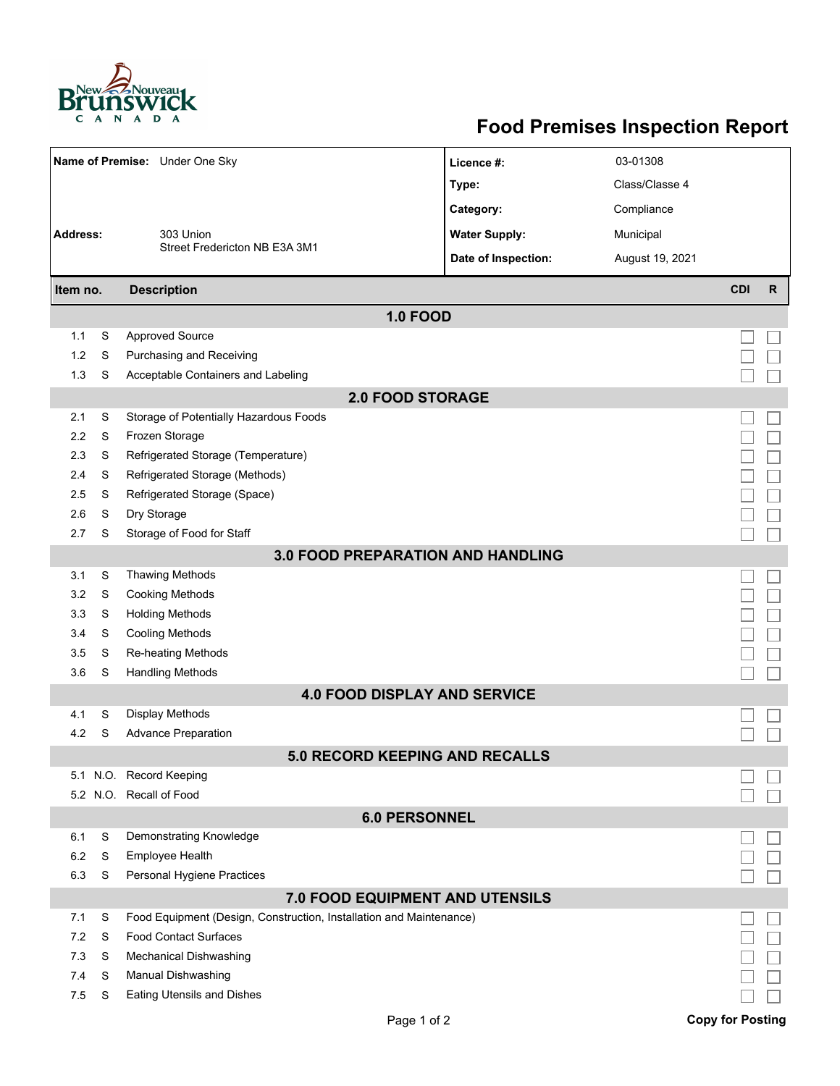

## **Food Premises Inspection Report**

| Name of Premise: Under One Sky |                      |                                                                     | Licence #:           | 03-01308        |                         |              |  |  |  |
|--------------------------------|----------------------|---------------------------------------------------------------------|----------------------|-----------------|-------------------------|--------------|--|--|--|
|                                |                      |                                                                     | Type:                | Class/Classe 4  |                         |              |  |  |  |
|                                |                      |                                                                     | Category:            | Compliance      |                         |              |  |  |  |
| <b>Address:</b>                |                      | 303 Union                                                           | <b>Water Supply:</b> | Municipal       |                         |              |  |  |  |
|                                |                      | Street Fredericton NB E3A 3M1                                       |                      |                 |                         |              |  |  |  |
|                                |                      |                                                                     | Date of Inspection:  | August 19, 2021 |                         |              |  |  |  |
| Item no.                       |                      | <b>Description</b>                                                  |                      |                 | <b>CDI</b>              | $\mathsf{R}$ |  |  |  |
|                                |                      | <b>1.0 FOOD</b>                                                     |                      |                 |                         |              |  |  |  |
| 1.1                            | S                    | <b>Approved Source</b>                                              |                      |                 |                         |              |  |  |  |
| 1.2                            | S                    | Purchasing and Receiving                                            |                      |                 |                         |              |  |  |  |
| 1.3                            | S                    | Acceptable Containers and Labeling                                  |                      |                 |                         |              |  |  |  |
| <b>2.0 FOOD STORAGE</b>        |                      |                                                                     |                      |                 |                         |              |  |  |  |
| 2.1                            | S                    | Storage of Potentially Hazardous Foods                              |                      |                 |                         |              |  |  |  |
| 2.2                            | S                    | Frozen Storage                                                      |                      |                 |                         |              |  |  |  |
| 2.3                            | S                    | Refrigerated Storage (Temperature)                                  |                      |                 |                         |              |  |  |  |
| 2.4                            | S                    | Refrigerated Storage (Methods)                                      |                      |                 |                         |              |  |  |  |
| 2.5                            | S                    | Refrigerated Storage (Space)                                        |                      |                 |                         |              |  |  |  |
| 2.6                            | S                    | Dry Storage                                                         |                      |                 |                         |              |  |  |  |
| 2.7                            | S                    | Storage of Food for Staff                                           |                      |                 |                         |              |  |  |  |
|                                |                      | <b>3.0 FOOD PREPARATION AND HANDLING</b>                            |                      |                 |                         |              |  |  |  |
| 3.1                            | S                    | Thawing Methods                                                     |                      |                 |                         |              |  |  |  |
| 3.2                            | S                    | <b>Cooking Methods</b>                                              |                      |                 |                         |              |  |  |  |
| 3.3                            | S                    | <b>Holding Methods</b>                                              |                      |                 |                         |              |  |  |  |
| 3.4                            | S                    | Cooling Methods                                                     |                      |                 |                         |              |  |  |  |
| 3.5<br>3.6                     | S<br>S               | Re-heating Methods                                                  |                      |                 |                         |              |  |  |  |
|                                |                      | <b>Handling Methods</b><br><b>4.0 FOOD DISPLAY AND SERVICE</b>      |                      |                 |                         |              |  |  |  |
| 4.1                            | S                    | Display Methods                                                     |                      |                 |                         |              |  |  |  |
| 4.2                            | S                    | <b>Advance Preparation</b>                                          |                      |                 |                         |              |  |  |  |
|                                |                      | 5.0 RECORD KEEPING AND RECALLS                                      |                      |                 |                         |              |  |  |  |
|                                |                      | 5.1 N.O. Record Keeping                                             |                      |                 |                         |              |  |  |  |
|                                |                      | 5.2 N.O. Recall of Food                                             |                      |                 |                         |              |  |  |  |
|                                | <b>6.0 PERSONNEL</b> |                                                                     |                      |                 |                         |              |  |  |  |
| 6.1                            | S                    | Demonstrating Knowledge                                             |                      |                 |                         |              |  |  |  |
| 6.2                            | S                    | Employee Health                                                     |                      |                 |                         |              |  |  |  |
| 6.3                            | S                    | Personal Hygiene Practices                                          |                      |                 |                         |              |  |  |  |
|                                |                      | 7.0 FOOD EQUIPMENT AND UTENSILS                                     |                      |                 |                         |              |  |  |  |
| 7.1                            | S                    | Food Equipment (Design, Construction, Installation and Maintenance) |                      |                 |                         |              |  |  |  |
| 7.2                            | S                    | <b>Food Contact Surfaces</b>                                        |                      |                 |                         |              |  |  |  |
| 7.3                            | S                    | Mechanical Dishwashing                                              |                      |                 |                         |              |  |  |  |
| 7.4                            | S                    | Manual Dishwashing                                                  |                      |                 |                         |              |  |  |  |
| 7.5                            | S                    | Eating Utensils and Dishes                                          |                      |                 |                         |              |  |  |  |
|                                |                      | Page 1 of 2                                                         |                      |                 | <b>Copy for Posting</b> |              |  |  |  |